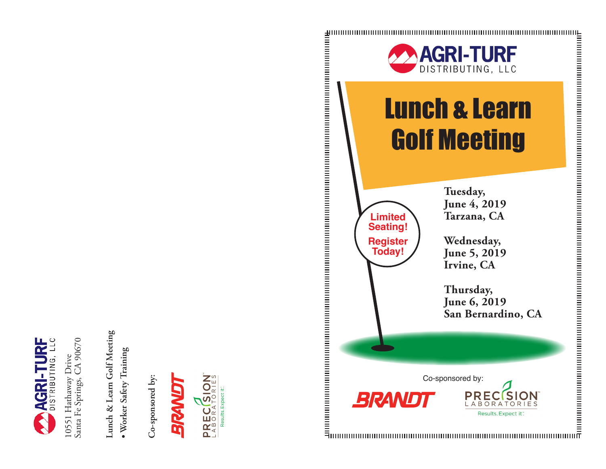

10551 Hathaway Drive<br>Santa Fe Springs, CA 90670 Santa Fe Springs, CA 90670 10551 Hathaway Drive

Lunch & Learn Golf Meeting **Lunch & Learn Golf Meeting**

· Worker Safety Training **• Worker Safety Training**

Co-sponsored by: **Co-sponsored by:**